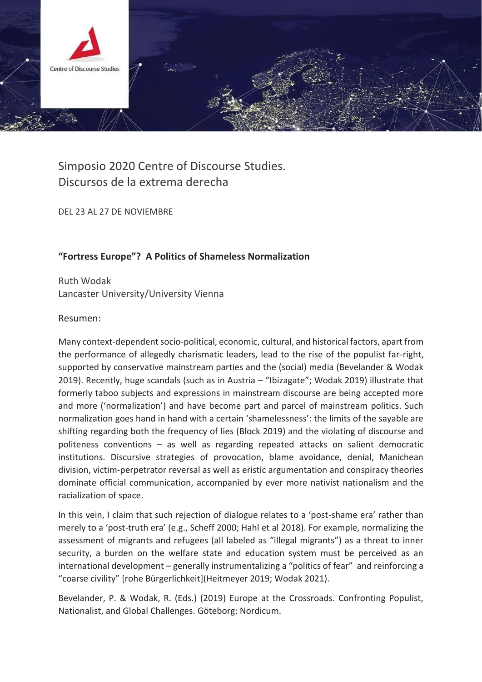

## Simposio 2020 Centre of Discourse Studies. Discursos de la extrema derecha

DEL 23 AL 27 DE NOVIEMBRE

## **"Fortress Europe"? A Politics of Shameless Normalization**

Ruth Wodak Lancaster University/University Vienna

## Resumen:

Many context-dependent socio-political, economic, cultural, and historical factors, apart from the performance of allegedly charismatic leaders, lead to the rise of the populist far-right, supported by conservative mainstream parties and the (social) media (Bevelander & Wodak 2019). Recently, huge scandals (such as in Austria – "Ibizagate"; Wodak 2019) illustrate that formerly taboo subjects and expressions in mainstream discourse are being accepted more and more ('normalization') and have become part and parcel of mainstream politics. Such normalization goes hand in hand with a certain 'shamelessness': the limits of the sayable are shifting regarding both the frequency of lies (Block 2019) and the violating of discourse and politeness conventions – as well as regarding repeated attacks on salient democratic institutions. Discursive strategies of provocation, blame avoidance, denial, Manichean division, victim-perpetrator reversal as well as eristic argumentation and conspiracy theories dominate official communication, accompanied by ever more nativist nationalism and the racialization of space.

In this vein, I claim that such rejection of dialogue relates to a 'post-shame era' rather than merely to a 'post-truth era' (e.g., Scheff 2000; Hahl et al 2018). For example, normalizing the assessment of migrants and refugees (all labeled as "illegal migrants") as a threat to inner security, a burden on the welfare state and education system must be perceived as an international development – generally instrumentalizing a "politics of fear" and reinforcing a "coarse civility" [rohe Bürgerlichkeit](Heitmeyer 2019; Wodak 2021).

Bevelander, P. & Wodak, R. (Eds.) (2019) Europe at the Crossroads. Confronting Populist, Nationalist, and Global Challenges. Göteborg: Nordicum.